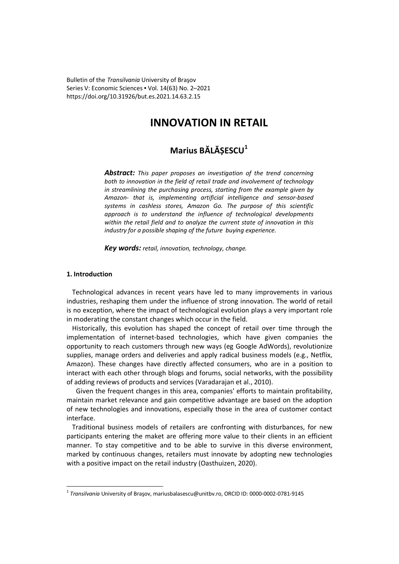Bulletin of the *Transilvania* University of Braşov Series V: Economic Sciences • Vol. 14(63) No. 2–2021 https://doi.org/10.31926/but.es.2021.14.63.2.15

# **INNOVATION IN RETAIL**

# **Marius BĂLĂȘESCU<sup>1</sup>**

*Abstract: This paper proposes an investigation of the trend concerning both to innovation in the field of retail trade and involvement of technology in streamlining the purchasing process, starting from the example given by Amazon- that is, implementing artificial intelligence and sensor-based systems in cashless stores, Amazon Go. The purpose of this scientific approach is to understand the influence of technological developments within the retail field and to analyze the current state of innovation in this industry for a possible shaping of the future buying experience.* 

*Key words: retail, innovation, technology, change.*

## **1. Introduction**

 $\overline{a}$ 

Technological advances in recent years have led to many improvements in various industries, reshaping them under the influence of strong innovation. The world of retail is no exception, where the impact of technological evolution plays a very important role in moderating the constant changes which occur in the field.

Historically, this evolution has shaped the concept of retail over time through the implementation of internet-based technologies, which have given companies the opportunity to reach customers through new ways (eg Google AdWords), revolutionize supplies, manage orders and deliveries and apply radical business models (e.g., Netflix, Amazon). These changes have directly affected consumers, who are in a position to interact with each other through blogs and forums, social networks, with the possibility of adding reviews of products and services (Varadarajan et al., 2010).

 Given the frequent changes in this area, companies' efforts to maintain profitability, maintain market relevance and gain competitive advantage are based on the adoption of new technologies and innovations, especially those in the area of customer contact interface.

 Traditional business models of retailers are confronting with disturbances, for new participants entering the maket are offering more value to their clients in an efficient manner. To stay competitive and to be able to survive in this diverse environment, marked by continuous changes, retailers must innovate by adopting new technologies with a positive impact on the retail industry (Oasthuizen, 2020).

<sup>1</sup> *Transilvania* University of Braşov, mariusbalasescu@unitbv.ro, ORCID ID: 0000-0002-0781-9145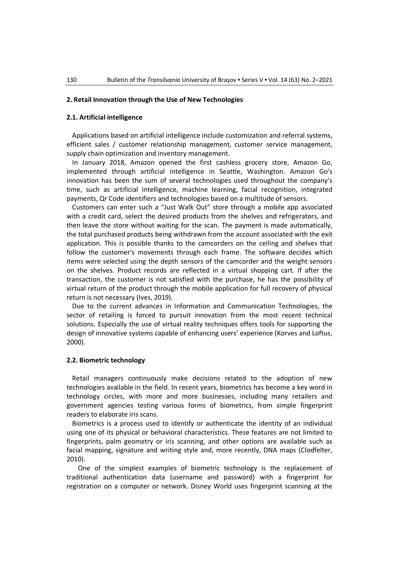## **2. Retail Innovation through the Use of New Technologies**

#### **2.1. Artificial intelligence**

Applications based on artificial intelligence include customization and referral systems, efficient sales / customer relationship management, customer service management, supply chain optimization and inventory management.

In January 2018, Amazon opened the first cashless grocery store, Amazon Go, implemented through artificial intelligence in Seattle, Washington. Amazon Go's innovation has been the sum of several technologies used throughout the company's time, such as artificial intelligence, machine learning, facial recognition, integrated payments, Qr Code identifiers and technologies based on a multitude of sensors.

Customers can enter such a "Just Walk Out" store through a mobile app associated with a credit card, select the desired products from the shelves and refrigerators, and then leave the store without waiting for the scan. The payment is made automatically, the total purchased products being withdrawn from the account associated with the exit application. This is possible thanks to the camcorders on the ceiling and shelves that follow the customer's movements through each frame. The software decides which items were selected using the depth sensors of the camcorder and the weight sensors on the shelves. Product records are reflected in a virtual shopping cart. If after the transaction, the customer is not satisfied with the purchase, he has the possibility of virtual return of the product through the mobile application for full recovery of physical return is not necessary (Ives, 2019).

Due to the current advances in Information and Communication Technologies, the sector of retailing is forced to pursuit innovation from the most recent technical solutions. Especially the use of virtual reality techniques offers tools for supporting the design of innovative systems capable of enhancing users' experience (Korves and Loftus, 2000).

### **2.2. Biometric technology**

Retail managers continuously make decisions related to the adoption of new technologies available in the field. In recent years, biometrics has become a key word in technology circles, with more and more businesses, including many retailers and government agencies testing various forms of biometrics, from simple fingerprint readers to elaborate iris scans.

Biometrics is a process used to identify or authenticate the identity of an individual using one of its physical or behavioral characteristics. These features are not limited to fingerprints, palm geometry or iris scanning, and other options are available such as facial mapping, signature and writing style and, more recently, DNA maps (Clodfelter, 2010).

 One of the simplest examples of biometric technology is the replacement of traditional authentication data (username and password) with a fingerprint for registration on a computer or network. Disney World uses fingerprint scanning at the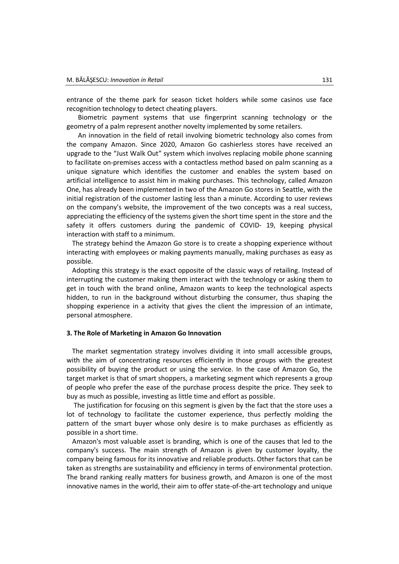entrance of the theme park for season ticket holders while some casinos use face recognition technology to detect cheating players.

 Biometric payment systems that use fingerprint scanning technology or the geometry of a palm represent another novelty implemented by some retailers.

 An innovation in the field of retail involving biometric technology also comes from the company Amazon. Since 2020, Amazon Go cashierless stores have received an upgrade to the "Just Walk Out" system which involves replacing mobile phone scanning to facilitate on-premises access with a contactless method based on palm scanning as a unique signature which identifies the customer and enables the system based on artificial intelligence to assist him in making purchases. This technology, called Amazon One, has already been implemented in two of the Amazon Go stores in Seattle, with the initial registration of the customer lasting less than a minute. According to user reviews on the company's website, the improvement of the two concepts was a real success, appreciating the efficiency of the systems given the short time spent in the store and the safety it offers customers during the pandemic of COVID- 19, keeping physical interaction with staff to a minimum.

The strategy behind the Amazon Go store is to create a shopping experience without interacting with employees or making payments manually, making purchases as easy as possible.

Adopting this strategy is the exact opposite of the classic ways of retailing. Instead of interrupting the customer making them interact with the technology or asking them to get in touch with the brand online, Amazon wants to keep the technological aspects hidden, to run in the background without disturbing the consumer, thus shaping the shopping experience in a activity that gives the client the impression of an intimate, personal atmosphere.

## **3. The Role of Marketing in Amazon Go Innovation**

The market segmentation strategy involves dividing it into small accessible groups, with the aim of concentrating resources efficiently in those groups with the greatest possibility of buying the product or using the service. In the case of Amazon Go, the target market is that of smart shoppers, a marketing segment which represents a group of people who prefer the ease of the purchase process despite the price. They seek to buy as much as possible, investing as little time and effort as possible.

 The justification for focusing on this segment is given by the fact that the store uses a lot of technology to facilitate the customer experience, thus perfectly molding the pattern of the smart buyer whose only desire is to make purchases as efficiently as possible in a short time.

Amazon's most valuable asset is branding, which is one of the causes that led to the company's success. The main strength of Amazon is given by customer loyalty, the company being famous for its innovative and reliable products. Other factors that can be taken as strengths are sustainability and efficiency in terms of environmental protection. The brand ranking really matters for business growth, and Amazon is one of the most innovative names in the world, their aim to offer state-of-the-art technology and unique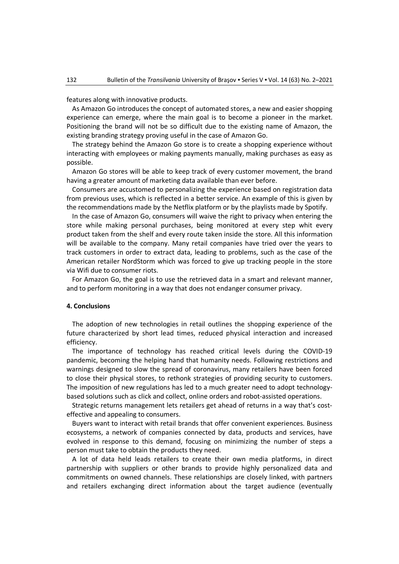features along with innovative products.

As Amazon Go introduces the concept of automated stores, a new and easier shopping experience can emerge, where the main goal is to become a pioneer in the market. Positioning the brand will not be so difficult due to the existing name of Amazon, the existing branding strategy proving useful in the case of Amazon Go.

The strategy behind the Amazon Go store is to create a shopping experience without interacting with employees or making payments manually, making purchases as easy as possible.

Amazon Go stores will be able to keep track of every customer movement, the brand having a greater amount of marketing data available than ever before.

Consumers are accustomed to personalizing the experience based on registration data from previous uses, which is reflected in a better service. An example of this is given by the recommendations made by the Netflix platform or by the playlists made by Spotify.

In the case of Amazon Go, consumers will waive the right to privacy when entering the store while making personal purchases, being monitored at every step whit every product taken from the shelf and every route taken inside the store. All this information will be available to the company. Many retail companies have tried over the years to track customers in order to extract data, leading to problems, such as the case of the American retailer NordStorm which was forced to give up tracking people in the store via Wifi due to consumer riots.

For Amazon Go, the goal is to use the retrieved data in a smart and relevant manner, and to perform monitoring in a way that does not endanger consumer privacy.

## **4. Conclusions**

The adoption of new technologies in retail outlines the shopping experience of the future characterized by short lead times, reduced physical interaction and increased efficiency.

The importance of technology has reached critical levels during the COVID-19 pandemic, becoming the helping hand that humanity needs. Following restrictions and warnings designed to slow the spread of coronavirus, many retailers have been forced to close their physical stores, to rethonk strategies of providing security to customers. The imposition of new regulations has led to a much greater need to adopt technologybased solutions such as click and collect, online orders and robot-assisted operations.

Strategic returns management lets retailers get ahead of returns in a way that's costeffective and appealing to consumers.

Buyers want to interact with retail brands that offer convenient experiences. Business ecosystems, a network of companies connected by data, products and services, have evolved in response to this demand, focusing on minimizing the number of steps a person must take to obtain the products they need.

A lot of data held leads retailers to create their own media platforms, in direct partnership with suppliers or other brands to provide highly personalized data and commitments on owned channels. These relationships are closely linked, with partners and retailers exchanging direct information about the target audience (eventually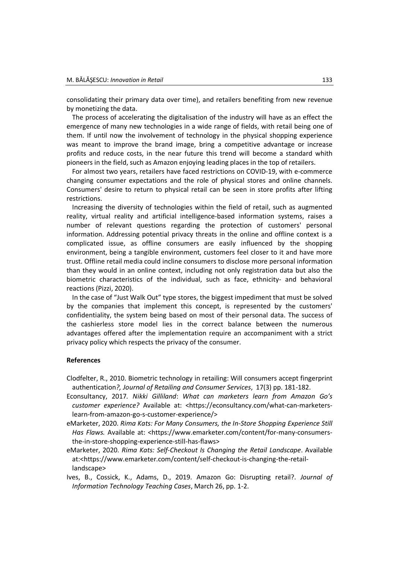consolidating their primary data over time), and retailers benefiting from new revenue by monetizing the data.

The process of accelerating the digitalisation of the industry will have as an effect the emergence of many new technologies in a wide range of fields, with retail being one of them. If until now the involvement of technology in the physical shopping experience was meant to improve the brand image, bring a competitive advantage or increase profits and reduce costs, in the near future this trend will become a standard whith pioneers in the field, such as Amazon enjoying leading places in the top of retailers.

For almost two years, retailers have faced restrictions on COVID-19, with e-commerce changing consumer expectations and the role of physical stores and online channels. Consumers' desire to return to physical retail can be seen in store profits after lifting restrictions.

Increasing the diversity of technologies within the field of retail, such as augmented reality, virtual reality and artificial intelligence-based information systems, raises a number of relevant questions regarding the protection of customers' personal information. Addressing potential privacy threats in the online and offline context is a complicated issue, as offline consumers are easily influenced by the shopping environment, being a tangible environment, customers feel closer to it and have more trust. Offline retail media could incline consumers to disclose more personal information than they would in an online context, including not only registration data but also the biometric characteristics of the individual, such as face, ethnicity- and behavioral reactions (Pizzi, 2020).

In the case of "Just Walk Out" type stores, the biggest impediment that must be solved by the companies that implement this concept, is represented by the customers' confidentiality, the system being based on most of their personal data. The success of the cashierless store model lies in the correct balance between the numerous advantages offered after the implementation require an accompaniment with a strict privacy policy which respects the privacy of the consumer.

### **References**

Clodfelter, R., 2010. Biometric technology in retailing: Will consumers accept fingerprint authentication*?, Journal of Retailing and Consumer Services*, 17(3) pp. 181-182.

- Econsultancy, 2017*. Nikki Gilliland*: *What can marketers learn from Amazon Go's customer experience?* Available at: <https://econsultancy.com/what-can-marketerslearn-from-amazon-go-s-customer-experience/>
- eMarketer, 2020. *Rima Kats: For Many Consumers, the In-Store Shopping Experience Still Has Flaws.* Available at: <https://www.emarketer.com/content/for-many-consumersthe-in-store-shopping-experience-still-has-flaws>
- eMarketer, 2020. *Rima Kats: Self-Checkout Is Changing the Retail Landscape*. Available at:<https://www.emarketer.com/content/self-checkout-is-changing-the-retaillandscape>
- Ives, B., Cossick, K., Adams, D., 2019. Amazon Go: Disrupting retail?. *Journal of Information Technology Teaching Cases*, March 26, pp. 1-2.